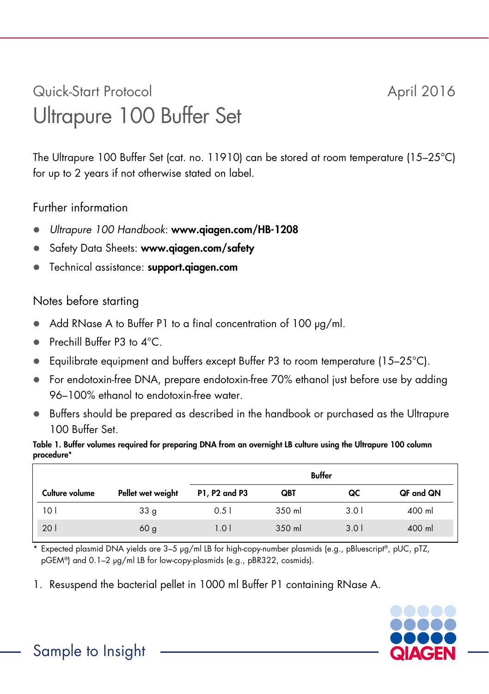## Quick-Start Protocol April 2016 Ultrapure 100 Buffer Set

The Ultrapure 100 Buffer Set (cat. no. 11910) can be stored at room temperature (15–25°C) for up to 2 years if not otherwise stated on label.

## Further information

- *Ultrapure 100 Handbook*: www.qiagen.com/HB-1208
- Safety Data Sheets: www.giagen.com/safety
- **•** Technical assistance: support.giagen.com

## Notes before starting

- Add RNase A to Buffer P1 to a final concentration of 100  $\mu$ g/ml.
- Prechill Buffer P3 to 4<sup>°</sup>C.
- **Equilibrate equipment and buffers except Buffer P3 to room temperature (15–25 °C).**
- For endotoxin-free DNA, prepare endotoxin-free 70% ethanol just before use by adding 96–100% ethanol to endotoxin-free water.
- Buffers should be prepared as described in the handbook or purchased as the Ultrapure 100 Buffer Set.

Table 1. Buffer volumes required for preparing DNA from an overnight LB culture using the Ultrapure 100 column procedure\*

|                |                   | Buffer        |        |       |           |
|----------------|-------------------|---------------|--------|-------|-----------|
| Culture volume | Pellet wet weight | P1, P2 and P3 | QBT    | QC    | QF and QN |
| 10 I           | 33 <sub>g</sub>   | 0.51          | 350 ml | 3.O I | 400 ml    |
| 201            | 60 <sub>g</sub>   | 1.01          | 350 ml | 3.01  | 400 ml    |

\* Expected plasmid DNA yields are 3–5 μg/ml LB for high-copy-number plasmids (e.g., pBluescript®, pUC, pTZ, pGEM®) and 0.1–2 µg/ml LB for low-copy-plasmids (e.g., pBR322, cosmids).

1. Resuspend the bacterial pellet in 1000 ml Buffer P1 containing RNase A.